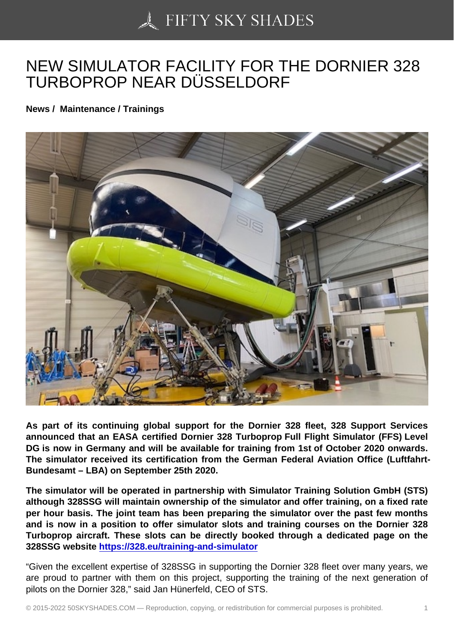## [NEW SIMULATOR FA](https://50skyshades.com)CILITY FOR THE DORNIER 328 TURBOPROP NEAR DÜSSELDORF

News / Maintenance / Trainings

As part of its continuing global support for the Dornier 328 fleet, 328 Support Services announced that an EASA certified Dornier 328 Turboprop Full Flight Simulator (FFS) Level DG is now in Germany and will be available for training from 1st of October 2020 onwards. The simulator received its certification from the German Federal Aviation Office (Luftfahrt-Bundesamt – LBA) on September 25th 2020.

The simulator will be operated in partnership with Simulator Training Solution GmbH (STS) although 328SSG will maintain ownership of the simulator and offer training, on a fixed rate per hour basis. The joint team has been preparing the simulator over the past few months and is now in a position to offer simulator slots and training courses on the Dornier 328 Turboprop aircraft. These slots can be directly booked through a dedicated page on the 328SSG website https://328.eu/training-and-simulator

"Given the excellent expertise of 328SSG in supporting the Dornier 328 fleet over many years, we are proud to part[ner with them on this project, supporti](http://link.mediaoutreach.meltwater.com/ls/click?upn=JxKBjdm5nmPPXgbOyyY28-2BJ447VvDnIhxYyYWmjngOlgldE2sIzHYYLYyls3NNrMz670_wVU3sWPqD-2BJ862OfyV2Ojj-2FPtQPiz-2F4sNV3lh5c9p1tAJsg96vLSFpNFZJgJs-2B3-2BN4qPe1X-2BmQzm9w2-2FIKw2CuoOyTnMi3DQNagJXOvuW1QuoikXlsqOr-2F4IqNI4aEoa4PbyQc6UJLDYG356uUdfs-2BSnA7bgHkOkDpagoyi7A1t7C0iBverI1ScVJDdP1PTrnmWVdBT66Wq-2BUj1ky00MOqBE6HMovE9BKzd3b0nyFtkzUbmTRlXdbSsOwu0QdWg4n-2Ftw50ADARH7BrtYMgh9AtCT3JeiJeccCBAMCoNQH-2F8xBGQIW-2BUud7QcHRqCN5-2B1EN4eMc3N3HLh9G2PYVRyH5l12FwkKJR-2FSSYfLBXaqhSydjrd98b-2FjELZN0lzeYguvuCHQBCr5QovNjJ-2FQTbiuQ-3D-3D)ng the training of the next generation of pilots on the Dornier 328," said Jan Hünerfeld, CEO of STS.